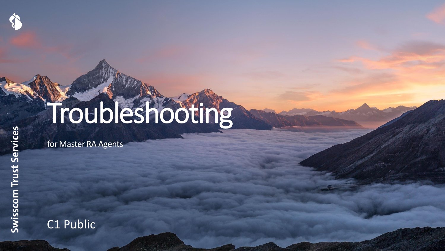# Troubleshooting

for Master RA Agents

C1 Public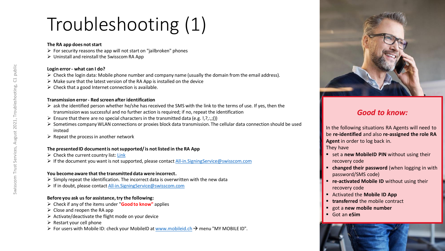# Troubleshooting (1)

#### **The RA app does not start**

- $\triangleright$  For security reasons the app will not start on "jailbroken" phones
- $\triangleright$  Uninstall and reinstall the Swisscom RA App

### **Login error- what can I do?**

- $\triangleright$  Check the login data: Mobile phone number and company name (usually the domain from the email address).
- ➢ Make sure that the latest version of the RA App is installed on the device
- $\triangleright$  Check that a good Internet connection is available.

#### **Transmission error - Red screen after identification**

- $\triangleright$  ask the identified person whether he/she has received the SMS with the link to the terms of use. If yes, then the transmission was successful and no further action is required; if no, repeat the identification
- $\triangleright$  Ensure that there are no special characters in the transmitted data (e.g. !,?,.,;())
- ➢ Sometimes company WLAN connections or proxies block data transmission. The cellular data connection should be used instead
- $\triangleright$  Repeat the process in another network

# **The presented ID document is not supported/ is not listed in the RA App**

- $\triangleright$  Check the current country list: [Link](https://documents.swisscom.com/product/filestore/lib/f7b4a51a-1909-4f21-ab36-fb98382bf0d8/countries-ra-app-de.pdf)
- ➢ If the document you want is not supported, please contact [All-in.SigningService@swisscom.com](mailto:All-in.SigningService@swisscom.com)

# **You become aware that the transmitted data were incorrect.**

- $\triangleright$  Simply repeat the identification. The incorrect data is overwritten with the new data
- ➢ If in doubt, please contact [All-in.SigningService@swisscom.com](mailto:All-in.SigningService@swisscom.com)

# **Before you ask us for assistance, try the following:**

- ➢ Check if any of the items under "**Good to know"** applies
- $\triangleright$  Close and reopen the RA app
- $\triangleright$  Activate/deactivate the flight mode on your device
- $\triangleright$  Restart your cell phone
- ➢ For users with Mobile ID: check your MobileID at [www.mobileid.ch](http://www.mobileid.ch/)→ menu "MY MOBILE ID".



# *Good to know:*

In the following situations RA Agents will need to be **re-identified** and also **re-assigned the role RA Agent** in order to log back in.

They have

- set a **new MobileID PIN** without using their recovery code
- **E** changed their password (when logging in with password/SMS code)
- **re-activated Mobile ID** without using their recovery code
- Activated the **Mobile ID App**
- **transferred** the mobile contract
- got a **new mobile number**
- Got an **eSim**

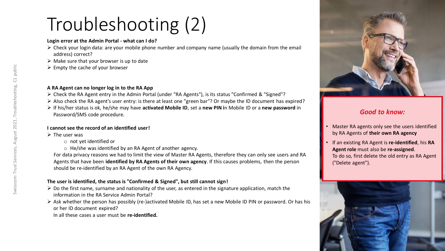# Troubleshooting (2)

# **Login error at the Admin Portal - what can I do?**

- ➢ Check your login data: are your mobile phone number and company name (usually the domain from the email address) correct?
- $\triangleright$  Make sure that your browser is up to date
- $\triangleright$  Empty the cache of your browser

# **A RA Agent can no longer log in to the RA App**

- ➢ Check the RA Agent entry in the Admin Portal (under "RA Agents"), is its status "Confirmed & "Signed"?
- ➢ Also check the RA agent's user entry: is there at least one "green bar"? Or maybe the ID document has expired?
- ➢ If his/her status is ok, he/she may have **activated Mobile ID**, set a **new PIN i**n Mobile ID or a **new password** in Password/SMS code procedure.

# **I cannot see the record of an identified user!**

- $\triangleright$  The user was
	- o not yet identified or
	- o He/she was identified by an RA Agent of another agency.

For data privacy reasons we had to limit the view of Master RA Agents, therefore they can only see users and RA Agents that have been **identified by RA Agents of their own agency**. If this causes problems, then the person should be re-identified by an RA Agent of the own RA Agency.

# **The user is identified, the status is "Confirmed & Signed", but still cannot sign!**

- $\triangleright$  Do the first name, surname and nationality of the user, as entered in the signature application, match the information in the RA Service Admin Portal?
- ➢ Ask whether the person has possibly (re-)activated Mobile ID, has set a new Mobile ID PIN or password. Or has his or her ID document expired?

In all these cases a user must be **re-identified.**



# *Good to know:*

- Master RA agents only see the users identified by RA Agents of **their own RA agency**
- If an existing RA Agent is **re-identified**, his **RA Agent role** must also be **re-assigned**. To do so, first delete the old entry as RA Agent ("Delete agent").